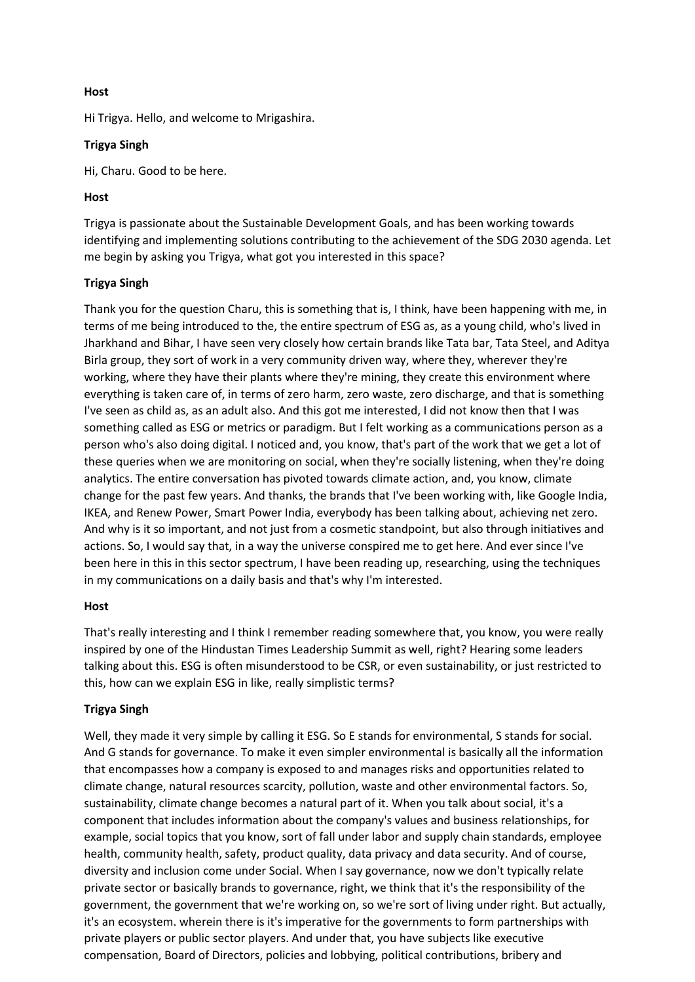## **Host**

Hi Trigya. Hello, and welcome to Mrigashira.

# **Trigya Singh**

Hi, Charu. Good to be here.

# **Host**

Trigya is passionate about the Sustainable Development Goals, and has been working towards identifying and implementing solutions contributing to the achievement of the SDG 2030 agenda. Let me begin by asking you Trigya, what got you interested in this space?

# **Trigya Singh**

Thank you for the question Charu, this is something that is, I think, have been happening with me, in terms of me being introduced to the, the entire spectrum of ESG as, as a young child, who's lived in Jharkhand and Bihar, I have seen very closely how certain brands like Tata bar, Tata Steel, and Aditya Birla group, they sort of work in a very community driven way, where they, wherever they're working, where they have their plants where they're mining, they create this environment where everything is taken care of, in terms of zero harm, zero waste, zero discharge, and that is something I've seen as child as, as an adult also. And this got me interested, I did not know then that I was something called as ESG or metrics or paradigm. But I felt working as a communications person as a person who's also doing digital. I noticed and, you know, that's part of the work that we get a lot of these queries when we are monitoring on social, when they're socially listening, when they're doing analytics. The entire conversation has pivoted towards climate action, and, you know, climate change for the past few years. And thanks, the brands that I've been working with, like Google India, IKEA, and Renew Power, Smart Power India, everybody has been talking about, achieving net zero. And why is it so important, and not just from a cosmetic standpoint, but also through initiatives and actions. So, I would say that, in a way the universe conspired me to get here. And ever since I've been here in this in this sector spectrum, I have been reading up, researching, using the techniques in my communications on a daily basis and that's why I'm interested.

### **Host**

That's really interesting and I think I remember reading somewhere that, you know, you were really inspired by one of the Hindustan Times Leadership Summit as well, right? Hearing some leaders talking about this. ESG is often misunderstood to be CSR, or even sustainability, or just restricted to this, how can we explain ESG in like, really simplistic terms?

# **Trigya Singh**

Well, they made it very simple by calling it ESG. So E stands for environmental, S stands for social. And G stands for governance. To make it even simpler environmental is basically all the information that encompasses how a company is exposed to and manages risks and opportunities related to climate change, natural resources scarcity, pollution, waste and other environmental factors. So, sustainability, climate change becomes a natural part of it. When you talk about social, it's a component that includes information about the company's values and business relationships, for example, social topics that you know, sort of fall under labor and supply chain standards, employee health, community health, safety, product quality, data privacy and data security. And of course, diversity and inclusion come under Social. When I say governance, now we don't typically relate private sector or basically brands to governance, right, we think that it's the responsibility of the government, the government that we're working on, so we're sort of living under right. But actually, it's an ecosystem. wherein there is it's imperative for the governments to form partnerships with private players or public sector players. And under that, you have subjects like executive compensation, Board of Directors, policies and lobbying, political contributions, bribery and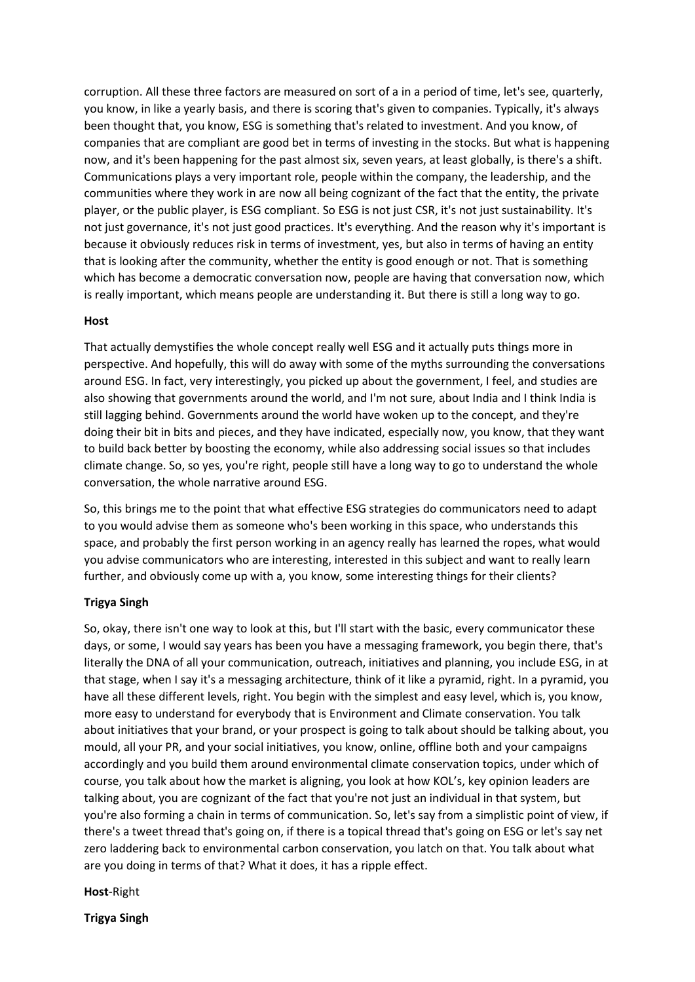corruption. All these three factors are measured on sort of a in a period of time, let's see, quarterly, you know, in like a yearly basis, and there is scoring that's given to companies. Typically, it's always been thought that, you know, ESG is something that's related to investment. And you know, of companies that are compliant are good bet in terms of investing in the stocks. But what is happening now, and it's been happening for the past almost six, seven years, at least globally, is there's a shift. Communications plays a very important role, people within the company, the leadership, and the communities where they work in are now all being cognizant of the fact that the entity, the private player, or the public player, is ESG compliant. So ESG is not just CSR, it's not just sustainability. It's not just governance, it's not just good practices. It's everything. And the reason why it's important is because it obviously reduces risk in terms of investment, yes, but also in terms of having an entity that is looking after the community, whether the entity is good enough or not. That is something which has become a democratic conversation now, people are having that conversation now, which is really important, which means people are understanding it. But there is still a long way to go.

#### **Host**

That actually demystifies the whole concept really well ESG and it actually puts things more in perspective. And hopefully, this will do away with some of the myths surrounding the conversations around ESG. In fact, very interestingly, you picked up about the government, I feel, and studies are also showing that governments around the world, and I'm not sure, about India and I think India is still lagging behind. Governments around the world have woken up to the concept, and they're doing their bit in bits and pieces, and they have indicated, especially now, you know, that they want to build back better by boosting the economy, while also addressing social issues so that includes climate change. So, so yes, you're right, people still have a long way to go to understand the whole conversation, the whole narrative around ESG.

So, this brings me to the point that what effective ESG strategies do communicators need to adapt to you would advise them as someone who's been working in this space, who understands this space, and probably the first person working in an agency really has learned the ropes, what would you advise communicators who are interesting, interested in this subject and want to really learn further, and obviously come up with a, you know, some interesting things for their clients?

### **Trigya Singh**

So, okay, there isn't one way to look at this, but I'll start with the basic, every communicator these days, or some, I would say years has been you have a messaging framework, you begin there, that's literally the DNA of all your communication, outreach, initiatives and planning, you include ESG, in at that stage, when I say it's a messaging architecture, think of it like a pyramid, right. In a pyramid, you have all these different levels, right. You begin with the simplest and easy level, which is, you know, more easy to understand for everybody that is Environment and Climate conservation. You talk about initiatives that your brand, or your prospect is going to talk about should be talking about, you mould, all your PR, and your social initiatives, you know, online, offline both and your campaigns accordingly and you build them around environmental climate conservation topics, under which of course, you talk about how the market is aligning, you look at how KOL's, key opinion leaders are talking about, you are cognizant of the fact that you're not just an individual in that system, but you're also forming a chain in terms of communication. So, let's say from a simplistic point of view, if there's a tweet thread that's going on, if there is a topical thread that's going on ESG or let's say net zero laddering back to environmental carbon conservation, you latch on that. You talk about what are you doing in terms of that? What it does, it has a ripple effect.

### **Host**-Right

**Trigya Singh**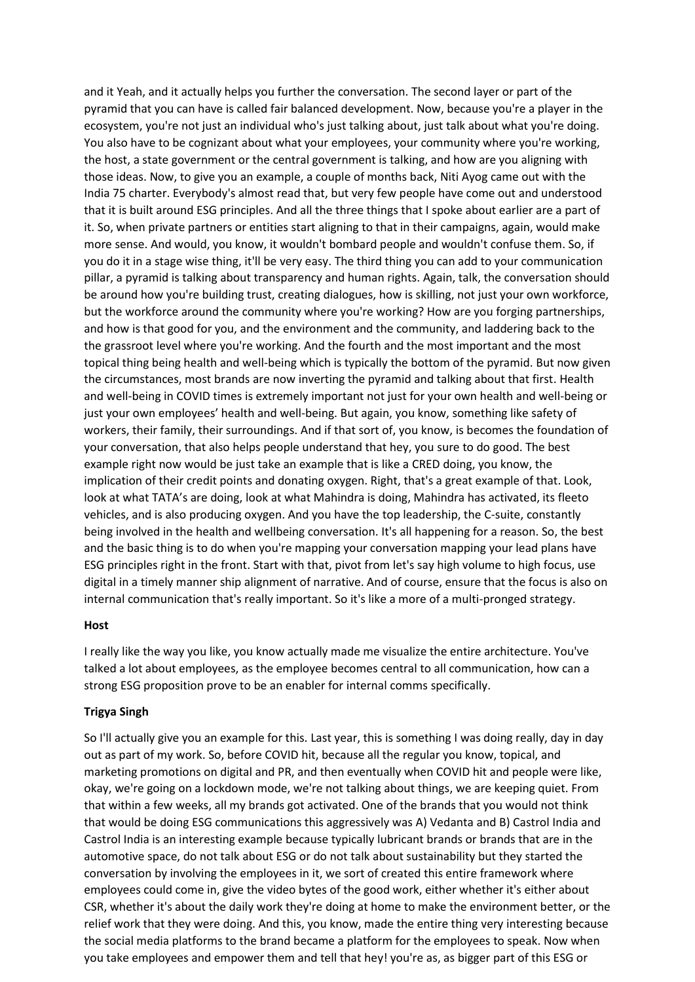and it Yeah, and it actually helps you further the conversation. The second layer or part of the pyramid that you can have is called fair balanced development. Now, because you're a player in the ecosystem, you're not just an individual who's just talking about, just talk about what you're doing. You also have to be cognizant about what your employees, your community where you're working, the host, a state government or the central government is talking, and how are you aligning with those ideas. Now, to give you an example, a couple of months back, Niti Ayog came out with the India 75 charter. Everybody's almost read that, but very few people have come out and understood that it is built around ESG principles. And all the three things that I spoke about earlier are a part of it. So, when private partners or entities start aligning to that in their campaigns, again, would make more sense. And would, you know, it wouldn't bombard people and wouldn't confuse them. So, if you do it in a stage wise thing, it'll be very easy. The third thing you can add to your communication pillar, a pyramid is talking about transparency and human rights. Again, talk, the conversation should be around how you're building trust, creating dialogues, how is skilling, not just your own workforce, but the workforce around the community where you're working? How are you forging partnerships, and how is that good for you, and the environment and the community, and laddering back to the the grassroot level where you're working. And the fourth and the most important and the most topical thing being health and well-being which is typically the bottom of the pyramid. But now given the circumstances, most brands are now inverting the pyramid and talking about that first. Health and well-being in COVID times is extremely important not just for your own health and well-being or just your own employees' health and well-being. But again, you know, something like safety of workers, their family, their surroundings. And if that sort of, you know, is becomes the foundation of your conversation, that also helps people understand that hey, you sure to do good. The best example right now would be just take an example that is like a CRED doing, you know, the implication of their credit points and donating oxygen. Right, that's a great example of that. Look, look at what TATA's are doing, look at what Mahindra is doing, Mahindra has activated, its fleeto vehicles, and is also producing oxygen. And you have the top leadership, the C-suite, constantly being involved in the health and wellbeing conversation. It's all happening for a reason. So, the best and the basic thing is to do when you're mapping your conversation mapping your lead plans have ESG principles right in the front. Start with that, pivot from let's say high volume to high focus, use digital in a timely manner ship alignment of narrative. And of course, ensure that the focus is also on internal communication that's really important. So it's like a more of a multi-pronged strategy.

#### **Host**

I really like the way you like, you know actually made me visualize the entire architecture. You've talked a lot about employees, as the employee becomes central to all communication, how can a strong ESG proposition prove to be an enabler for internal comms specifically.

### **Trigya Singh**

So I'll actually give you an example for this. Last year, this is something I was doing really, day in day out as part of my work. So, before COVID hit, because all the regular you know, topical, and marketing promotions on digital and PR, and then eventually when COVID hit and people were like, okay, we're going on a lockdown mode, we're not talking about things, we are keeping quiet. From that within a few weeks, all my brands got activated. One of the brands that you would not think that would be doing ESG communications this aggressively was A) Vedanta and B) Castrol India and Castrol India is an interesting example because typically lubricant brands or brands that are in the automotive space, do not talk about ESG or do not talk about sustainability but they started the conversation by involving the employees in it, we sort of created this entire framework where employees could come in, give the video bytes of the good work, either whether it's either about CSR, whether it's about the daily work they're doing at home to make the environment better, or the relief work that they were doing. And this, you know, made the entire thing very interesting because the social media platforms to the brand became a platform for the employees to speak. Now when you take employees and empower them and tell that hey! you're as, as bigger part of this ESG or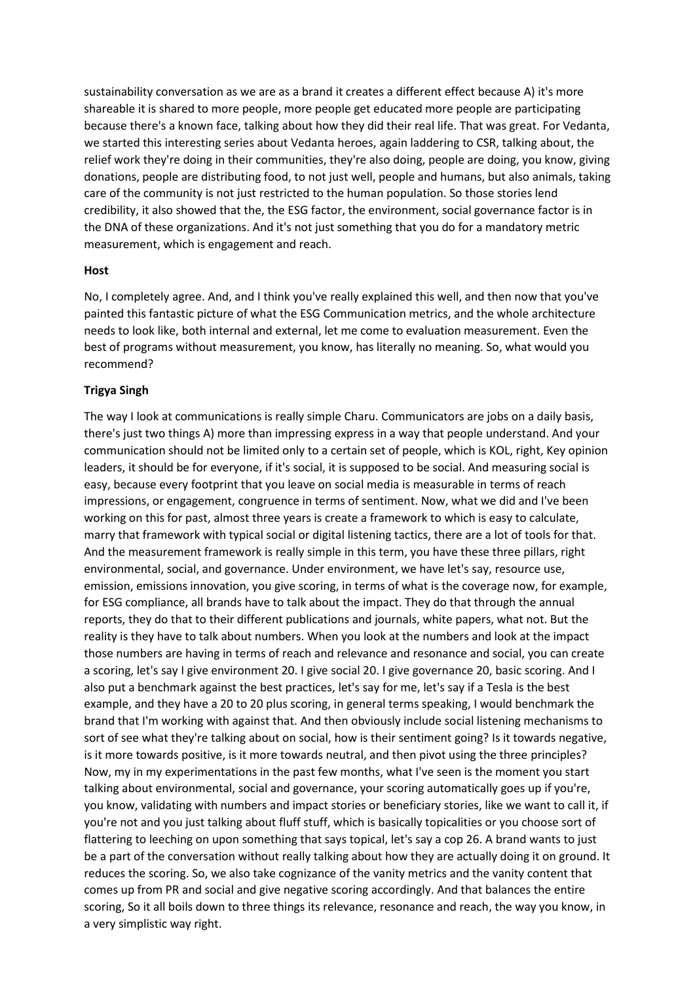sustainability conversation as we are as a brand it creates a different effect because A) it's more shareable it is shared to more people, more people get educated more people are participating because there's a known face, talking about how they did their real life. That was great. For Vedanta, we started this interesting series about Vedanta heroes, again laddering to CSR, talking about, the relief work they're doing in their communities, they're also doing, people are doing, you know, giving donations, people are distributing food, to not just well, people and humans, but also animals, taking care of the community is not just restricted to the human population. So those stories lend credibility, it also showed that the, the ESG factor, the environment, social governance factor is in the DNA of these organizations. And it's not just something that you do for a mandatory metric measurement, which is engagement and reach.

#### **Host**

No, I completely agree. And, and I think you've really explained this well, and then now that you've painted this fantastic picture of what the ESG Communication metrics, and the whole architecture needs to look like, both internal and external, let me come to evaluation measurement. Even the best of programs without measurement, you know, has literally no meaning. So, what would you recommend?

#### **Trigya Singh**

The way I look at communications is really simple Charu. Communicators are jobs on a daily basis, there's just two things A) more than impressing express in a way that people understand. And your communication should not be limited only to a certain set of people, which is KOL, right, Key opinion leaders, it should be for everyone, if it's social, it is supposed to be social. And measuring social is easy, because every footprint that you leave on social media is measurable in terms of reach impressions, or engagement, congruence in terms of sentiment. Now, what we did and I've been working on this for past, almost three years is create a framework to which is easy to calculate, marry that framework with typical social or digital listening tactics, there are a lot of tools for that. And the measurement framework is really simple in this term, you have these three pillars, right environmental, social, and governance. Under environment, we have let's say, resource use, emission, emissions innovation, you give scoring, in terms of what is the coverage now, for example, for ESG compliance, all brands have to talk about the impact. They do that through the annual reports, they do that to their different publications and journals, white papers, what not. But the reality is they have to talk about numbers. When you look at the numbers and look at the impact those numbers are having in terms of reach and relevance and resonance and social, you can create a scoring, let's say I give environment 20. I give social 20. I give governance 20, basic scoring. And I also put a benchmark against the best practices, let's say for me, let's say if a Tesla is the best example, and they have a 20 to 20 plus scoring, in general terms speaking, I would benchmark the brand that I'm working with against that. And then obviously include social listening mechanisms to sort of see what they're talking about on social, how is their sentiment going? Is it towards negative, is it more towards positive, is it more towards neutral, and then pivot using the three principles? Now, my in my experimentations in the past few months, what I've seen is the moment you start talking about environmental, social and governance, your scoring automatically goes up if you're, you know, validating with numbers and impact stories or beneficiary stories, like we want to call it, if you're not and you just talking about fluff stuff, which is basically topicalities or you choose sort of flattering to leeching on upon something that says topical, let's say a cop 26. A brand wants to just be a part of the conversation without really talking about how they are actually doing it on ground. It reduces the scoring. So, we also take cognizance of the vanity metrics and the vanity content that comes up from PR and social and give negative scoring accordingly. And that balances the entire scoring, So it all boils down to three things its relevance, resonance and reach, the way you know, in a very simplistic way right.